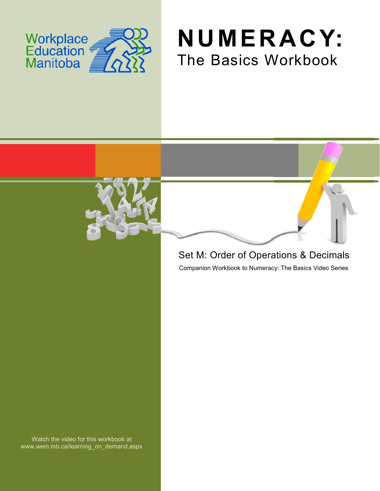





## Set M: Order of Operations & Decimals

Companion Workbook to Numeracy: The Basics Video Series

Watch the video for this workbook at www.wem.mb.ca/learning\_on\_demand.aspx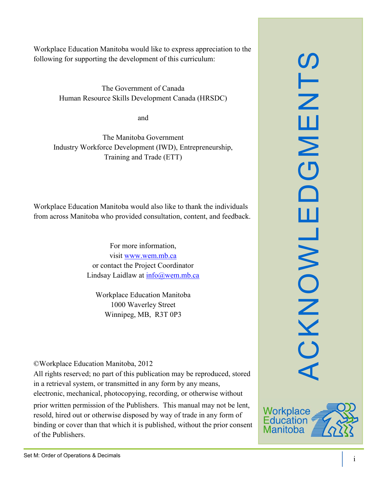SLN ACKNOWLEDGMENTS  $\overline{\mathbf{u}}$  $\mathsf{z}$  $\overline{\mathbf{C}}$  $\Box$ ш CKNOWL

Workplace Education Manitoba would like to express appreciation to the following for supporting the development of this curriculum:

> The Government of Canada Human Resource Skills Development Canada (HRSDC)

> > and

The Manitoba Government Industry Workforce Development (IWD), Entrepreneurship, Training and Trade (ETT)

Workplace Education Manitoba would also like to thank the individuals from across Manitoba who provided consultation, content, and feedback.

> For more information, visit [www.wem.mb.ca](http://www.wem.mb.ca/) or contact the Project Coordinator Lindsay Laidlaw at [info@wem.mb.ca](mailto:info@wem.mb.ca)

Workplace Education Manitoba 1000 Waverley Street Winnipeg, MB, R3T 0P3

©Workplace Education Manitoba, 2012

All rights reserved; no part of this publication may be reproduced, stored in a retrieval system, or transmitted in any form by any means, electronic, mechanical, photocopying, recording, or otherwise without

prior written permission of the Publishers. This manual may not be lent, resold, hired out or otherwise disposed by way of trade in any form of binding or cover than that which it is published, without the prior consent of the Publishers.

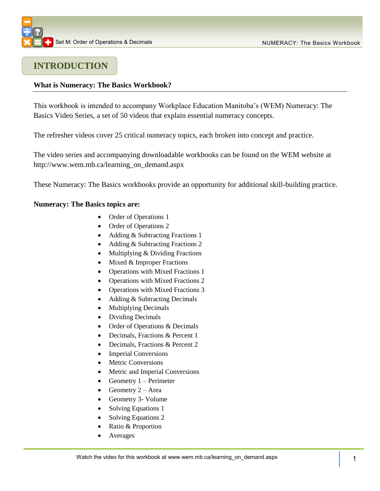## **INTRODUCTION**

#### **What is Numeracy: The Basics Workbook?**

This workbook is intended to accompany Workplace Education Manitoba's (WEM) Numeracy: The Basics Video Series, a set of 50 videos that explain essential numeracy concepts.

The refresher videos cover 25 critical numeracy topics, each broken into concept and practice.

The video series and accompanying downloadable workbooks can be found on the WEM website at [http://www.wem.mb.ca/learning\\_on\\_demand.aspx](http://www.wem.mb.ca/learning_on_demand.aspx)

These Numeracy: The Basics workbooks provide an opportunity for additional skill-building practice.

#### **Numeracy: The Basics topics are:**

- Order of Operations 1
- Order of Operations 2
- Adding & Subtracting Fractions 1
- Adding & Subtracting Fractions 2
- Multiplying & Dividing Fractions
- $\bullet$  Mixed & Improper Fractions
- Operations with Mixed Fractions 1
- Operations with Mixed Fractions 2
- Operations with Mixed Fractions 3
- Adding & Subtracting Decimals
- Multiplying Decimals
- Dividing Decimals
- Order of Operations & Decimals
- Decimals, Fractions & Percent 1
- Decimals, Fractions & Percent 2
- Imperial Conversions
- Metric Conversions
- Metric and Imperial Conversions
- Geometry  $1 -$  Perimeter
- Geometry  $2 Area$
- Geometry 3- Volume
- Solving Equations 1
- Solving Equations 2
- Ratio & Proportion
- Averages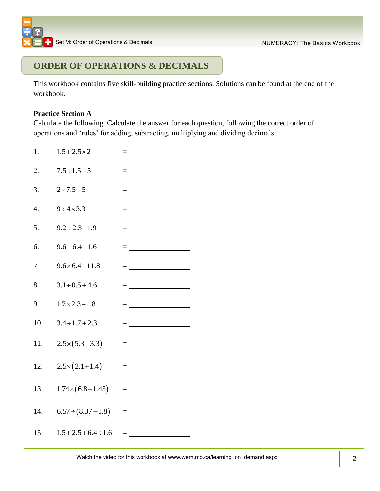## **ORDER OF OPERATIONS & DECIMALS**

This workbook contains five skill-building practice sections. Solutions can be found at the end of the workbook.

#### **Practice Section A**

Calculate the following. Calculate the answer for each question, following the correct order of operations and 'rules' for adding, subtracting, multiplying and dividing decimals.

| 1.               | $1.5 + 2.5 \times 2$       | $=$ $\frac{1}{\sqrt{2\pi}}$ . The set of $\frac{1}{\sqrt{2\pi}}$                                                                                                       |
|------------------|----------------------------|------------------------------------------------------------------------------------------------------------------------------------------------------------------------|
| 2.               | $7.5 \div 1.5 + 5$         | = __________________                                                                                                                                                   |
| 3.               | $2 \times 7.5 - 5$         |                                                                                                                                                                        |
| $\overline{4}$ . | $9 \div 4 \times 3.3$      | = _____________________                                                                                                                                                |
| 5.               | $9.2 \div 2.3 - 1.9$       |                                                                                                                                                                        |
| 6.               | $9.6 - 6.4 \div 1.6$       | = ______________________                                                                                                                                               |
| 7.               | $9.6 \times 6.4 - 11.8$    |                                                                                                                                                                        |
| 8.               | $3.1 \div 0.5 + 4.6$       |                                                                                                                                                                        |
| 9.               | $1.7 \times 2.3 - 1.8$     | = <u>_________________</u>                                                                                                                                             |
| 10.              | $3.4 \div 1.7 + 2.3$       |                                                                                                                                                                        |
| 11.              | $2.5 \times (5.3 - 3.3)$   | = <u>__________________</u>                                                                                                                                            |
| 12.              | $2.5 \times (2.1 + 1.4)$   |                                                                                                                                                                        |
| 13.              | $1.74 \times (6.8 - 1.45)$ |                                                                                                                                                                        |
| 14.              | $6.57 \div (8.37 - 1.8)$   | $= \underbrace{\qquad \qquad }_{\qquad \qquad \qquad \qquad }=\underbrace{\qquad \qquad }_{\qquad \qquad \qquad }=\underbrace{\qquad \qquad }_{\qquad \qquad \qquad }$ |
| 15.              | $1.5 + 2.5 + 6.4 \div 1.6$ |                                                                                                                                                                        |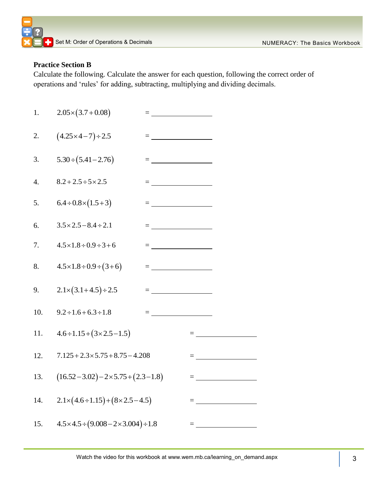

#### **Practice Section B**

Calculate the following. Calculate the answer for each question, following the correct order of operations and 'rules' for adding, subtracting, multiplying and dividing decimals.

| 1.  | $2.05 \times (3.7 + 0.08)$                              | $\equiv$ and the set of the set of $\mathcal{L}$                                                                                                                                                                                                                                                                                                                                                                                                                                                                               |                                                                                                                                             |  |
|-----|---------------------------------------------------------|--------------------------------------------------------------------------------------------------------------------------------------------------------------------------------------------------------------------------------------------------------------------------------------------------------------------------------------------------------------------------------------------------------------------------------------------------------------------------------------------------------------------------------|---------------------------------------------------------------------------------------------------------------------------------------------|--|
| 2.  | $(4.25 \times 4 - 7) \div 2.5$                          | = <u>__________________</u>                                                                                                                                                                                                                                                                                                                                                                                                                                                                                                    |                                                                                                                                             |  |
| 3.  | $5.30 \div (5.41 - 2.76)$                               |                                                                                                                                                                                                                                                                                                                                                                                                                                                                                                                                |                                                                                                                                             |  |
| 4.  | $8.2 + 2.5 \div 5 \times 2.5$                           |                                                                                                                                                                                                                                                                                                                                                                                                                                                                                                                                |                                                                                                                                             |  |
| 5.  | $6.4 \div 0.8 \times (1.5 + 3)$                         |                                                                                                                                                                                                                                                                                                                                                                                                                                                                                                                                |                                                                                                                                             |  |
| 6.  | $3.5 \times 2.5 - 8.4 \div 2.1$                         | = <u>_________________</u>                                                                                                                                                                                                                                                                                                                                                                                                                                                                                                     |                                                                                                                                             |  |
| 7.  | $4.5 \times 1.8 \div 0.9 \div 3 + 6$                    |                                                                                                                                                                                                                                                                                                                                                                                                                                                                                                                                |                                                                                                                                             |  |
| 8.  | $4.5 \times 1.8 \div 0.9 \div (3 + 6)$                  | $\equiv \underbrace{\qquad \qquad }_{\qquad \qquad \qquad \qquad }=\underbrace{\qquad \qquad }_{\qquad \qquad \qquad }=\underbrace{\qquad \qquad }_{\qquad \qquad \qquad }$                                                                                                                                                                                                                                                                                                                                                    |                                                                                                                                             |  |
| 9.  | $2.1 \times (3.1 + 4.5) \div 2.5$                       | $=\underbrace{\qquad \qquad }_{\qquad \qquad \qquad }\qquad \qquad ~~\qquad \qquad ~~\qquad \qquad ~~\qquad \qquad ~~\qquad \qquad ~~\qquad \qquad ~~\qquad \qquad ~~\qquad \qquad ~~\qquad \qquad ~~\qquad \qquad ~~\qquad \qquad ~~\qquad \qquad ~~\qquad \qquad ~~\qquad \qquad ~~\qquad \qquad ~~\qquad \qquad ~~\qquad \qquad ~~\qquad \qquad ~~\qquad \qquad ~~\qquad \qquad ~~\qquad \qquad ~~\qquad \qquad ~~\qquad \qquad ~~\qquad \qquad ~~\qquad \qquad ~~\qquad \qquad ~~\qquad \qquad ~~\qquad \qquad ~~\qquad \$ |                                                                                                                                             |  |
| 10. | $9.2 \div 1.6 + 6.3 \div 1.8$                           | $\equiv \underbrace{\qquad \qquad }_{\qquad \qquad \cdots \qquad \qquad }=\underbrace{\qquad \qquad }_{\qquad \cdots \qquad \qquad }$                                                                                                                                                                                                                                                                                                                                                                                          |                                                                                                                                             |  |
| 11. | $4.6 \div 1.15 + (3 \times 2.5 - 1.5)$                  |                                                                                                                                                                                                                                                                                                                                                                                                                                                                                                                                | $=$ $\frac{1}{2}$ and $\frac{1}{2}$ and $\frac{1}{2}$                                                                                       |  |
| 12. | $7.125 + 2.3 \times 5.75 + 8.75 - 4.208$                |                                                                                                                                                                                                                                                                                                                                                                                                                                                                                                                                | $\equiv$ 100 $\pm$ 100 $\pm$                                                                                                                |  |
| 13. | $(16.52 - 3.02) - 2 \times 5.75 + (2.3 - 1.8)$          |                                                                                                                                                                                                                                                                                                                                                                                                                                                                                                                                | $= \underbrace{\qquad \qquad }_{\qquad \qquad }=\underbrace{\qquad \qquad }_{\qquad \qquad }=\underbrace{\qquad \qquad }_{\qquad \qquad }$  |  |
| 14. | $2.1\times(4.6\div1.15)+(8\times2.5-4.5)$               |                                                                                                                                                                                                                                                                                                                                                                                                                                                                                                                                | $=$ $\frac{1}{\sqrt{2}}$ , $\frac{1}{\sqrt{2}}$ , $\frac{1}{\sqrt{2}}$ , $\frac{1}{\sqrt{2}}$ , $\frac{1}{\sqrt{2}}$ , $\frac{1}{\sqrt{2}}$ |  |
| 15. | $4.5 \times 4.5 \div (9.008 - 2 \times 3.004) \div 1.8$ |                                                                                                                                                                                                                                                                                                                                                                                                                                                                                                                                |                                                                                                                                             |  |
|     |                                                         |                                                                                                                                                                                                                                                                                                                                                                                                                                                                                                                                |                                                                                                                                             |  |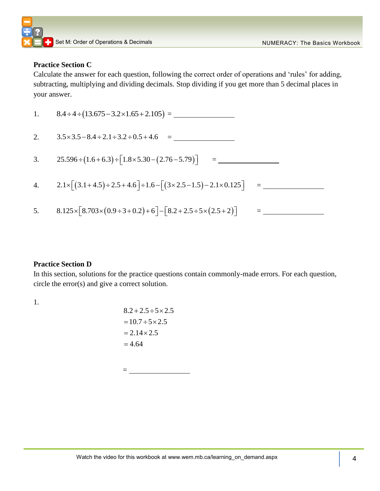#### **Practice Section C**

Calculate the answer for each question, following the correct order of operations and 'rules' for adding, subtracting, multiplying and dividing decimals. Stop dividing if you get more than 5 decimal places in your answer.

1. 
$$
8.4 \div 4 \div (13.675 - 3.2 \times 1.65 + 2.105) =
$$
  
\n2.  $3.5 \times 3.5 - 8.4 \div 2.1 \div 3.2 \div 0.5 + 4.6 =$   
\n3.  $25.596 \div (1.6 + 6.3) \div [1.8 \times 5.30 - (2.76 - 5.79)] =$   
\n4.  $2.1 \times [(3.1 + 4.5) \div 2.5 + 4.6] \div 1.6 - [(3 \times 2.5 - 1.5) - 2.1 \times 0.125] =$   
\n5.  $8.125 \times [8.703 \times (0.9 \div 3 + 0.2) + 6] - [8.2 + 2.5 \div 5 \times (2.5 + 2)] =$ 

#### **Practice Section D**

In this section, solutions for the practice questions contain commonly-made errors. For each question, circle the error(s) and give a correct solution.

1.

$$
8.2 + 2.5 \div 5 \times 2.5
$$
  
= 10.7 \div 5 \times 2.5  
= 2.14 \times 2.5  
= 4.64

=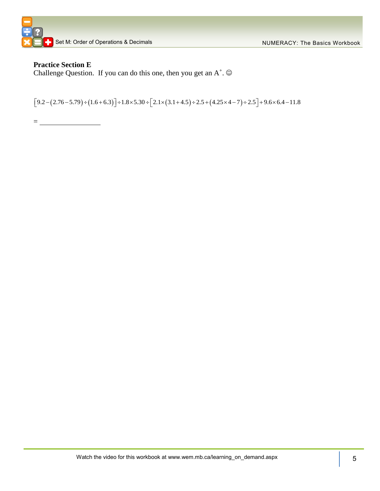

#### **Practice Section E**

Challenge Question. If you can do this one, then you get an  $A^+$ .  $\odot$ 

 $\left[9.2 - (2.76 - 5.79) \div (1.6 + 6.3)\right] \div 1.8 \times 5.30 \div \left[2.1 \times (3.1 + 4.5) \div 2.5 + (4.25 \times 4 - 7) \div 2.5\right] + 9.6 \times 6.4 - 11.8$ 

= <u>\_\_\_\_\_\_\_\_\_\_\_\_\_\_\_\_\_\_</u>\_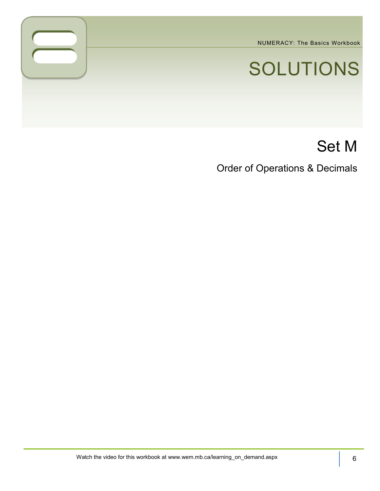NUMERACY: The Basics Workbook

# SOLUTIONS

## Set M

Order of Operations & Decimals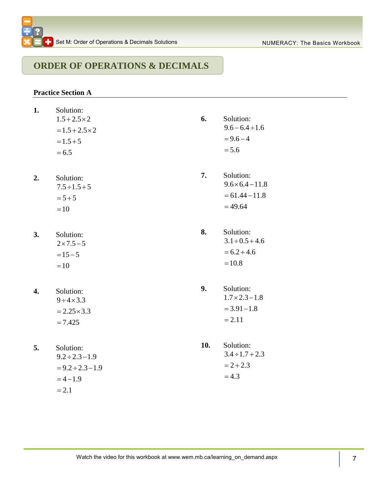## **ORDER OF OPERATIONS & DECIMALS**

#### **Practice Section A**

 $= 2.1$ 

| 1. | Solution:<br>$1.5 + 2.5 \times 2$<br>$= 1.5 + 2.5 \times 2$<br>$= 1.5 + 5$<br>$= 6.5$ | 6.  | Solution:<br>$9.6 - 6.4 \div 1.6$<br>$= 9.6 - 4$<br>$= 5.6$           |
|----|---------------------------------------------------------------------------------------|-----|-----------------------------------------------------------------------|
| 2. | Solution:<br>$7.5 \div 1.5 + 5$<br>$= 5 + 5$<br>$=10$                                 | 7.  | Solution:<br>$9.6 \times 6.4 - 11.8$<br>$= 61.44 - 11.8$<br>$= 49.64$ |
| 3. | Solution:<br>$2 \times 7.5 - 5$<br>$=15-5$<br>$=10$                                   | 8.  | Solution:<br>$3.1 \div 0.5 + 4.6$<br>$= 6.2 + 4.6$<br>$=10.8$         |
| 4. | Solution:<br>$9 \div 4 \times 3.3$<br>$= 2.25 \times 3.3$<br>$= 7.425$                | 9.  | Solution:<br>$1.7 \times 2.3 - 1.8$<br>$= 3.91 - 1.8$<br>$= 2.11$     |
| 5. | Solution:<br>$9.2 \div 2.3 - 1.9$<br>$= 9.2 \div 2.3 - 1.9$<br>$=4-1.9$               | 10. | Solution:<br>$3.4 \div 1.7 + 2.3$<br>$= 2 + 2.3$<br>$= 4.3$           |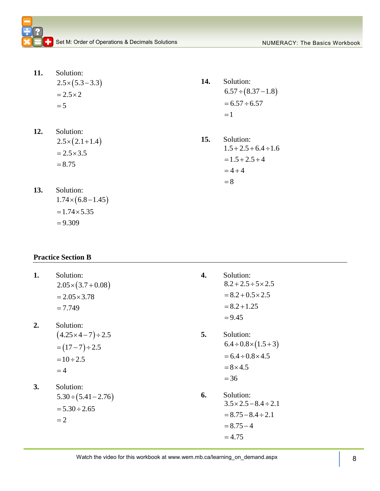Set M: Order of Operations & Decimals Solutions Numer NUMERACY: The Basics Workbook

- **11.** Solution:  $2.5 \times (5.3 - 3.3)$  $=2.5\times 2$  $= 5$
- **12.** Solution:  $2.5 \times (2.1 + 1.4)$  $= 2.5 \times 3.5$ 8.75
- **13.** Solution:  $1.74 \times (6.8 - 1.45)$  $=1.74 \times 5.35$  $= 9.309$
- **Practice Section B**
- **1.** Solution:  $2.05 \times (3.7 + 0.08)$  $= 2.05 \times 3.78$  $= 7.749$ **2.** Solution:  $(4.25 \times 4 - 7) \div 2.5$  $=(17-7)\div 2.5$  $= 10 \div 2.5$  $=4$ **3.** Solution:  $5.30 \div (5.41 - 2.76)$  $= 5.30 \div 2.65$  $=2$ **4.** Solution:  $= 9.45$ **5.** Solution:  $= 8 \times 4.5$  $= 36$ **6.** Solution:
- **14.** Solution:  $6.57 \div (8.37 - 1.8)$  $= 6.57 \div 6.57$  $=1$
- **15.** Solution:  $1.5 + 2.5 + 6.4 \div 1.6$  $= 1.5 + 2.5 + 4$  $= 4 + 4$ 8

- $8.2 + 2.5 \div 5 \times 2.5$  $= 8.2 + 0.5 \times 2.5$  $= 8.2 + 1.25$
- $6.4 \div 0.8 \times (1.5 + 3)$  $= 6.4 \div 0.8 \times 4.5$
- $3.5 \times 2.5 8.4 \div 2.1$  $= 8.75 - 8.4 \div 2.1$  $= 8.75 - 4$  $=4.75$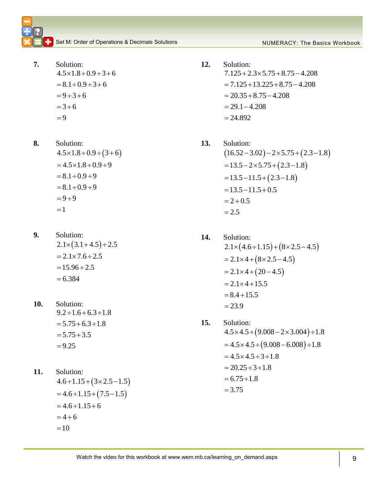- **7.** Solution:  $4.5 \times 1.8 \div 0.9 \div 3 + 6$  $= 8.1 \div 0.9 \div 3 + 6$  $= 9 \div 3 + 6$  $= 3 + 6$ 9
- **8.** Solution:  $4.5 \times 1.8 \div 0.9 \div (3 + 6)$  $= 4.5 \times 1.8 \div 0.9 \div 9$  $= 8.1 \div 0.9 \div 9$  $= 8.1 \div 0.9 \div 9$  $= 9 \div 9$  $=1$
- **9.** Solution:  $2.1 \times (3.1 + 4.5) \div 2.5$  $= 2.1 \times 7.6 \div 2.5$  $= 15.96 \div 2.5$  $= 6.384$
- **10.** Solution:  $9.2 \div 1.6 + 6.3 \div 1.8$  $= 5.75 + 6.3 \div 1.8$  $= 5.75 + 3.5$  $= 9.25$
- **11.** Solution:  $4.6 \div 1.15 + (3 \times 2.5 - 1.5)$  $= 4.6 \div 1.15 + (7.5 - 1.5)$  $=4.6 \div 1.15 + 6$  $= 4 + 6$  $=10$
- **12.** Solution: Solution:<br>7.125 + 2.3 × 5.75 + 8.75 – 4.208  $7.125 + 2.3 \times 5.75 + 8.75 - 4.208$ <br>=  $7.125 + 13.225 + 8.75 - 4.208$  $= 7.123 + 13.223 + 8.75$ <br>= 20.35 + 8.75 – 4.208  $= 20.33 + 8.73$ <br>= 29.1 – 4.208  $= 24.892$
- **13.** Solution: Solution:<br>(16.52 – 3.02) – 2×5.75 + (2.3 – 1.8)  $(10.52 - 5.02) - 2 \times 5.75 + (2.3 - 1.8)$ <br>= 13.5 – 2×5.75 + (2.3 – 1.8)  $= 13.5 - 2 \times 3.73 + (2.3 - 1)$ <br>= 13.5 - 11.5 + (2.3 - 1.8)  $= 13.5 - 11.5 + (2.5)$ <br>= 13.5 - 11.5 + 0.5  $= 13.5 - 11$ <br>= 2 + 0.5  $= 2.5$
- **14.** Solution: Solution:<br>2.1×(4.6 ÷ 1.15) + (8× 2.5 – 4.5)  $= 2.1 \times 4 + (8 \times 2.5 - 4.5)$  $= 2.1 \times 4 + (20 - 4.5)$  $= 2.1 \times 4 + 15.5$  $= 2.1 \times 4 + 1$ <br>= 8.4 + 15.5  $= 23.9$
- **15.** Solution: Solution:<br>4.5×4.5÷(9.008–2×3.004)÷1.8  $4.5 \times 4.5 \div (9.008 - 2 \times 5.004) \div 1.8$ <br>= 4.5  $\times$  4.5  $\div (9.008 - 6.008) \div 1.8$  $= 4.5 \times 4.5 \div 3 \div 1.8$ <br>= 4.5  $\times$  4.5  $\div$  3  $\div$  1.8  $= 4.5 \times 4.5 \div 5 \div 1.$ <br>= 20.25  $\div 3 \div 1.8$  $= 20.25 \div 3 \div 5$ <br>= 6.75 \times 1.8  $= 3.75$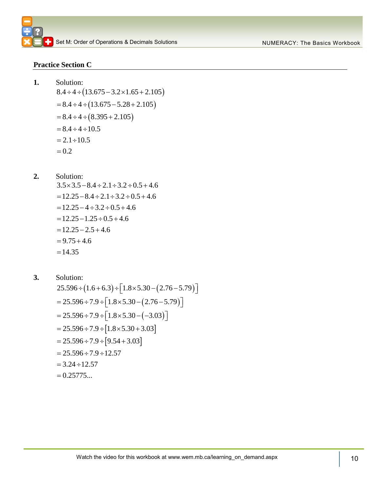#### **Practice Section C**

**1.** Solution: Solution:<br>8.4 ÷ 4 ÷ (13.675 – 3.2 × 1.65 + 2.105)  $8.4 \div 4 \div (13.675 - 5.28 + 2.105)$ <br>=  $8.4 \div 4 \div (13.675 - 5.28 + 2.105)$  $= 8.4 \div 4 \div (15.675 - 3.28 +$ <br>=  $8.4 \div 4 \div (8.395 + 2.105)$  $= 8.4 \div 4 \div (8.3)$ <br>= 8.4 \div 4 \div 10.5  $= 8.4 \div 4 \div 1$ <br>= 2.1 \times 10.5  $= 0.2$ 

**2.** Solution:

Solution:<br> $3.5 \times 3.5 - 8.4 \div 2.1 \div 3.2 \div 0.5 + 4.6$  $3.5 \times 3.5 - 8.4 \div 2.1 \div 3.2 \div 0.5 + 4.6$ <br>= 12.25 - 8.4  $\div 2.1 \div 3.2 \div 0.5 + 4.6$  $= 12.25 - 8.4 \div 2.1 \div 5.2 \div 0.5$ <br> $= 12.25 - 4 \div 3.2 \div 0.5 + 4.6$  $= 12.25 - 4 \div 5.2 \div 0.5 + 4.6$ <br>= 12.25 - 1.25  $\div 0.5 + 4.6$  $= 12.25 - 1.25 \div 0.5$ <br>= 12.25 – 2.5 + 4.6  $= 12.25 - 2.5$ <br>= 9.75 + 4.6  $=14.35$ 

**3.** Solution:

Solution:  
\n
$$
25.596 \div (1.6 + 6.3) \div [1.8 \times 5.30 - (2.76 - 5.79)]
$$
\n
$$
= 25.596 \div 7.9 \div [1.8 \times 5.30 - (2.76 - 5.79)]
$$
\n
$$
= 25.596 \div 7.9 \div [1.8 \times 5.30 - (-3.03)]
$$
\n
$$
= 25.596 \div 7.9 \div [1.8 \times 5.30 + 3.03]
$$
\n
$$
= 25.596 \div 7.9 \div [9.54 + 3.03]
$$
\n
$$
= 25.596 \div 7.9 \div [9.54 + 3.03]
$$
\n
$$
= 25.596 \div 7.9 \div 12.57
$$
\n
$$
= 3.24 \div 12.57
$$
\n
$$
= 0.25775...
$$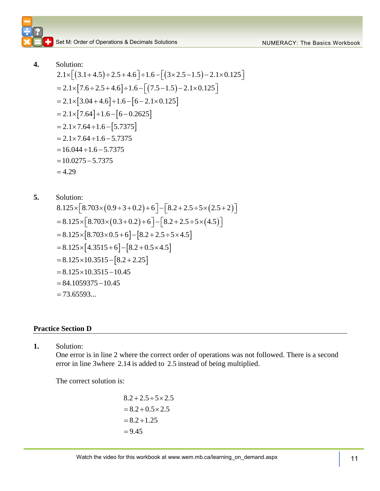Set M: Order of Operations & Decimals Solutions Numer Act Numer NUMERACY: The Basics Workbook

Solution:  
\n
$$
2.1 \times \left[ (3.1 + 4.5) \div 2.5 + 4.6 \right] \div 1.6 - \left[ (3 \times 2.5 - 1.5) - 2.1 \times 0.125 \right]
$$
\n
$$
= 2.1 \times \left[ 7.6 \div 2.5 + 4.6 \right] \div 1.6 - \left[ (7.5 - 1.5) - 2.1 \times 0.125 \right]
$$
\n
$$
= 2.1 \times \left[ 3.04 + 4.6 \right] \div 1.6 - \left[ 6 - 2.1 \times 0.125 \right]
$$
\n
$$
= 2.1 \times \left[ 7.64 \right] \div 1.6 - \left[ 6 - 0.2625 \right]
$$
\n
$$
= 2.1 \times 7.64 \div 1.6 - \left[ 5.7375 \right]
$$
\n
$$
= 2.1 \times 7.64 \div 1.6 - 5.7375
$$
\n
$$
= 16.044 \div 1.6 - 5.7375
$$
\n
$$
= 4.29
$$

**5.** Solution: 8.125 8.703 0.9 3 0.2 6 8.2 2.5 5 2.5 2 8.125 8.703 0.3 0.2 6 8.2 2.5 5 4.5 8.125 8.703 0.5 6 8.2 2.5 5 4.5 8.125 4.3515 6 8.2 0.5 4.5 8.125 10.3515 8.2 2.25 8.125 10.3515 10.45 84.105 9375 10.45 73.65593... 

#### **Practice Section D**

**1.** Solution:

**4.** Solution:

One error is in line 2 where the correct order of operations was not followed. There is a second error in line 3where 2.14 is added to 2.5 instead of being multiplied.

The correct solution is:

 $8.2 + 2.5 \div 5 \times 2.5$  $= 8.2 + 0.5 \times 2.5$  $= 8.2 + 1.25$  $= 9.45$